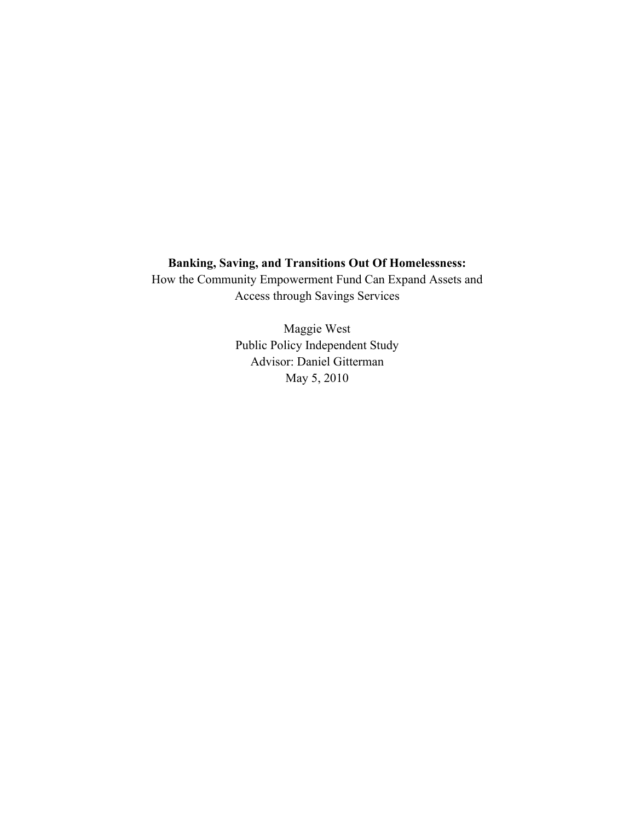# **Banking, Saving, and Transitions Out Of Homelessness:**

How the Community Empowerment Fund Can Expand Assets and Access through Savings Services

> Maggie West Public Policy Independent Study Advisor: Daniel Gitterman May 5, 2010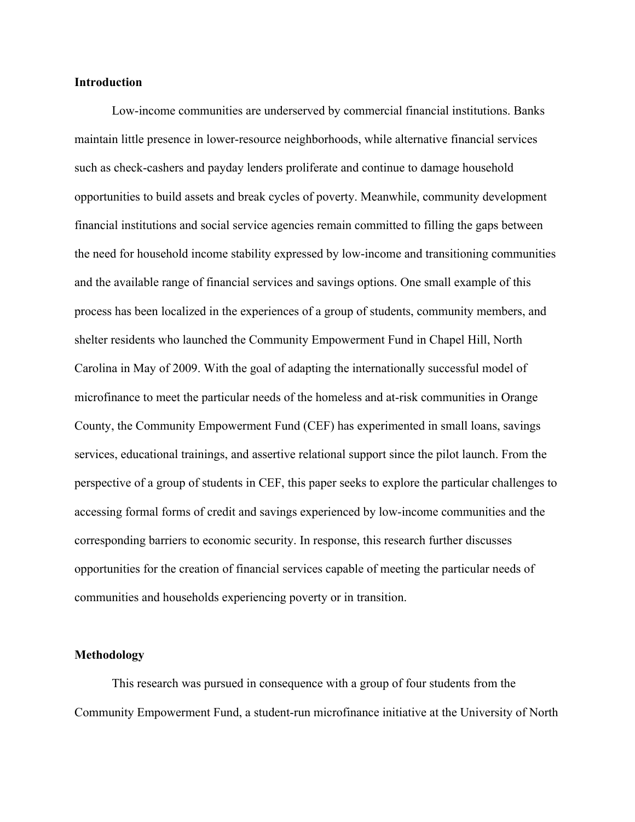# **Introduction**

Low-income communities are underserved by commercial financial institutions. Banks maintain little presence in lower-resource neighborhoods, while alternative financial services such as check-cashers and payday lenders proliferate and continue to damage household opportunities to build assets and break cycles of poverty. Meanwhile, community development financial institutions and social service agencies remain committed to filling the gaps between the need for household income stability expressed by low-income and transitioning communities and the available range of financial services and savings options. One small example of this process has been localized in the experiences of a group of students, community members, and shelter residents who launched the Community Empowerment Fund in Chapel Hill, North Carolina in May of 2009. With the goal of adapting the internationally successful model of microfinance to meet the particular needs of the homeless and at-risk communities in Orange County, the Community Empowerment Fund (CEF) has experimented in small loans, savings services, educational trainings, and assertive relational support since the pilot launch. From the perspective of a group of students in CEF, this paper seeks to explore the particular challenges to accessing formal forms of credit and savings experienced by low-income communities and the corresponding barriers to economic security. In response, this research further discusses opportunities for the creation of financial services capable of meeting the particular needs of communities and households experiencing poverty or in transition.

# **Methodology**

This research was pursued in consequence with a group of four students from the Community Empowerment Fund, a student-run microfinance initiative at the University of North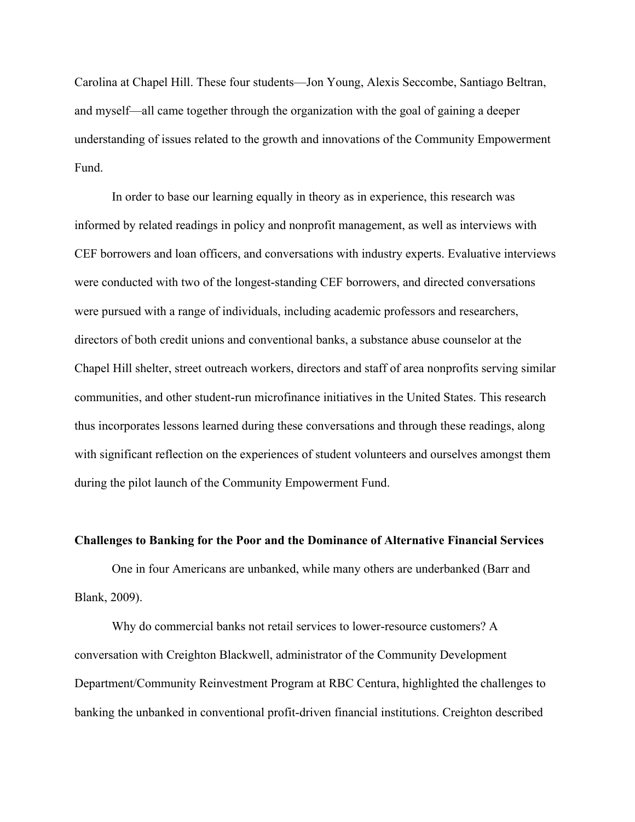Carolina at Chapel Hill. These four students—Jon Young, Alexis Seccombe, Santiago Beltran, and myself—all came together through the organization with the goal of gaining a deeper understanding of issues related to the growth and innovations of the Community Empowerment Fund.

In order to base our learning equally in theory as in experience, this research was informed by related readings in policy and nonprofit management, as well as interviews with CEF borrowers and loan officers, and conversations with industry experts. Evaluative interviews were conducted with two of the longest-standing CEF borrowers, and directed conversations were pursued with a range of individuals, including academic professors and researchers, directors of both credit unions and conventional banks, a substance abuse counselor at the Chapel Hill shelter, street outreach workers, directors and staff of area nonprofits serving similar communities, and other student-run microfinance initiatives in the United States. This research thus incorporates lessons learned during these conversations and through these readings, along with significant reflection on the experiences of student volunteers and ourselves amongst them during the pilot launch of the Community Empowerment Fund.

#### **Challenges to Banking for the Poor and the Dominance of Alternative Financial Services**

One in four Americans are unbanked, while many others are underbanked (Barr and Blank, 2009).

Why do commercial banks not retail services to lower-resource customers? A conversation with Creighton Blackwell, administrator of the Community Development Department/Community Reinvestment Program at RBC Centura, highlighted the challenges to banking the unbanked in conventional profit-driven financial institutions. Creighton described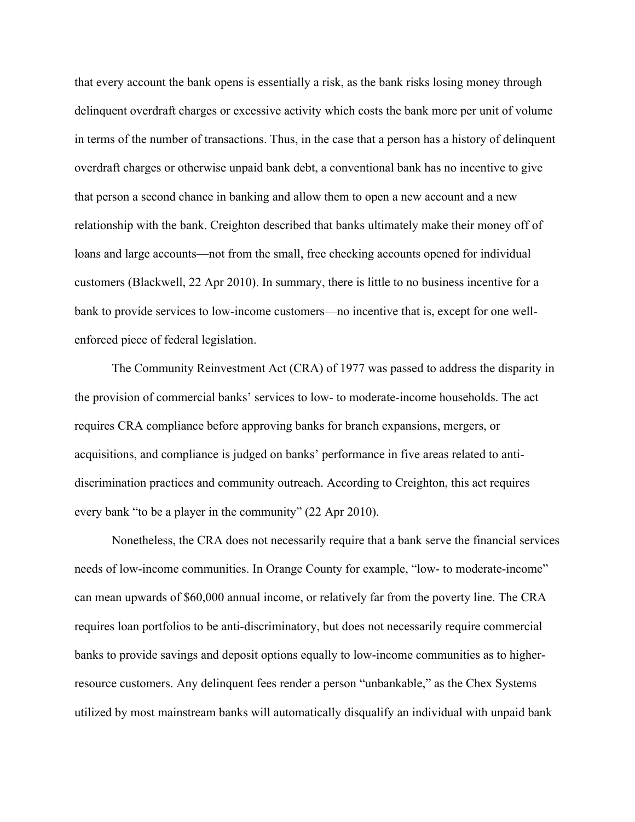that every account the bank opens is essentially a risk, as the bank risks losing money through delinquent overdraft charges or excessive activity which costs the bank more per unit of volume in terms of the number of transactions. Thus, in the case that a person has a history of delinquent overdraft charges or otherwise unpaid bank debt, a conventional bank has no incentive to give that person a second chance in banking and allow them to open a new account and a new relationship with the bank. Creighton described that banks ultimately make their money off of loans and large accounts—not from the small, free checking accounts opened for individual customers (Blackwell, 22 Apr 2010). In summary, there is little to no business incentive for a bank to provide services to low-income customers—no incentive that is, except for one wellenforced piece of federal legislation.

The Community Reinvestment Act (CRA) of 1977 was passed to address the disparity in the provision of commercial banks' services to low- to moderate-income households. The act requires CRA compliance before approving banks for branch expansions, mergers, or acquisitions, and compliance is judged on banks' performance in five areas related to antidiscrimination practices and community outreach. According to Creighton, this act requires every bank "to be a player in the community" (22 Apr 2010).

Nonetheless, the CRA does not necessarily require that a bank serve the financial services needs of low-income communities. In Orange County for example, "low- to moderate-income" can mean upwards of \$60,000 annual income, or relatively far from the poverty line. The CRA requires loan portfolios to be anti-discriminatory, but does not necessarily require commercial banks to provide savings and deposit options equally to low-income communities as to higherresource customers. Any delinquent fees render a person "unbankable," as the Chex Systems utilized by most mainstream banks will automatically disqualify an individual with unpaid bank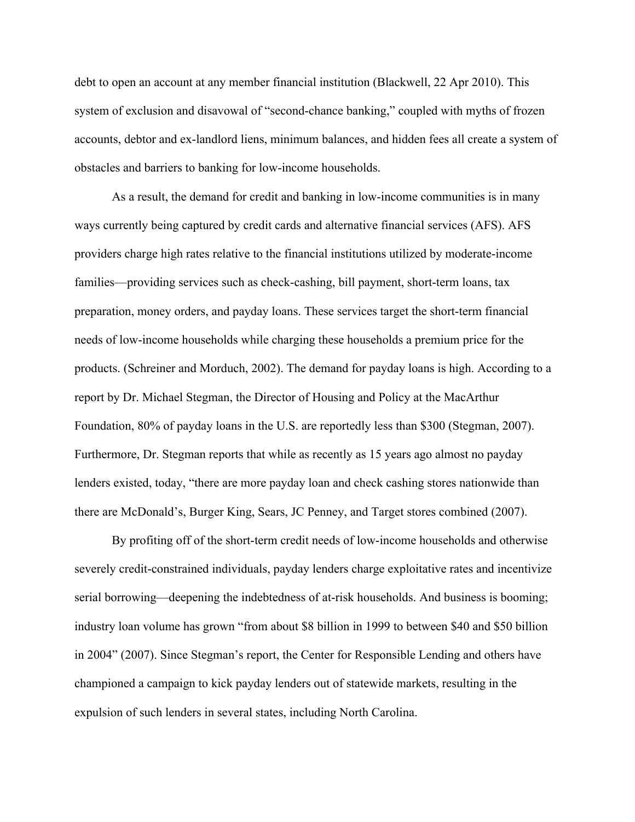debt to open an account at any member financial institution (Blackwell, 22 Apr 2010). This system of exclusion and disavowal of "second-chance banking," coupled with myths of frozen accounts, debtor and ex-landlord liens, minimum balances, and hidden fees all create a system of obstacles and barriers to banking for low-income households.

As a result, the demand for credit and banking in low-income communities is in many ways currently being captured by credit cards and alternative financial services (AFS). AFS providers charge high rates relative to the financial institutions utilized by moderate-income families—providing services such as check-cashing, bill payment, short-term loans, tax preparation, money orders, and payday loans. These services target the short-term financial needs of low-income households while charging these households a premium price for the products. (Schreiner and Morduch, 2002). The demand for payday loans is high. According to a report by Dr. Michael Stegman, the Director of Housing and Policy at the MacArthur Foundation, 80% of payday loans in the U.S. are reportedly less than \$300 (Stegman, 2007). Furthermore, Dr. Stegman reports that while as recently as 15 years ago almost no payday lenders existed, today, "there are more payday loan and check cashing stores nationwide than there are McDonald's, Burger King, Sears, JC Penney, and Target stores combined (2007).

By profiting off of the short-term credit needs of low-income households and otherwise severely credit-constrained individuals, payday lenders charge exploitative rates and incentivize serial borrowing—deepening the indebtedness of at-risk households. And business is booming; industry loan volume has grown "from about \$8 billion in 1999 to between \$40 and \$50 billion in 2004" (2007). Since Stegman's report, the Center for Responsible Lending and others have championed a campaign to kick payday lenders out of statewide markets, resulting in the expulsion of such lenders in several states, including North Carolina.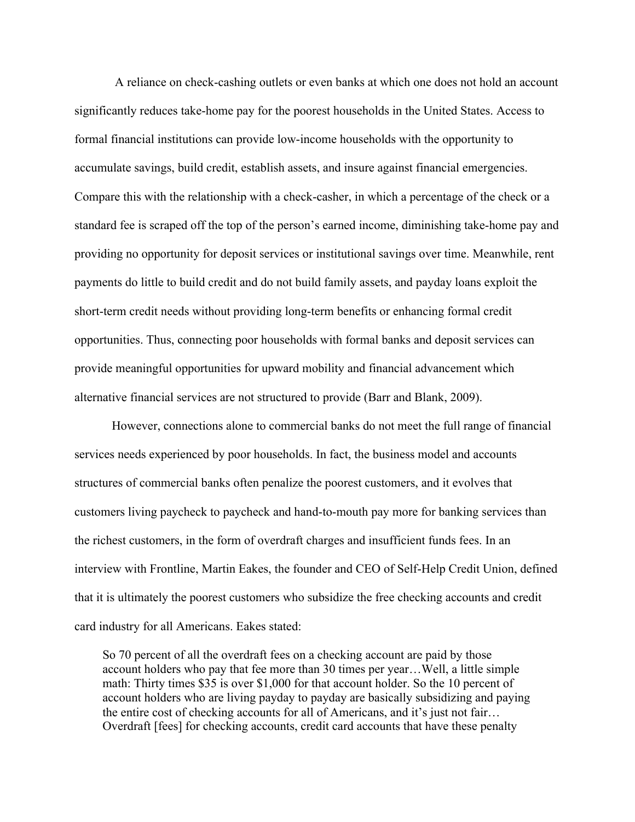A reliance on check-cashing outlets or even banks at which one does not hold an account significantly reduces take-home pay for the poorest households in the United States. Access to formal financial institutions can provide low-income households with the opportunity to accumulate savings, build credit, establish assets, and insure against financial emergencies. Compare this with the relationship with a check-casher, in which a percentage of the check or a standard fee is scraped off the top of the person's earned income, diminishing take-home pay and providing no opportunity for deposit services or institutional savings over time. Meanwhile, rent payments do little to build credit and do not build family assets, and payday loans exploit the short-term credit needs without providing long-term benefits or enhancing formal credit opportunities. Thus, connecting poor households with formal banks and deposit services can provide meaningful opportunities for upward mobility and financial advancement which alternative financial services are not structured to provide (Barr and Blank, 2009).

However, connections alone to commercial banks do not meet the full range of financial services needs experienced by poor households. In fact, the business model and accounts structures of commercial banks often penalize the poorest customers, and it evolves that customers living paycheck to paycheck and hand-to-mouth pay more for banking services than the richest customers, in the form of overdraft charges and insufficient funds fees. In an interview with Frontline, Martin Eakes, the founder and CEO of Self-Help Credit Union, defined that it is ultimately the poorest customers who subsidize the free checking accounts and credit card industry for all Americans. Eakes stated:

So 70 percent of all the overdraft fees on a checking account are paid by those account holders who pay that fee more than 30 times per year…Well, a little simple math: Thirty times \$35 is over \$1,000 for that account holder. So the 10 percent of account holders who are living payday to payday are basically subsidizing and paying the entire cost of checking accounts for all of Americans, and it's just not fair… Overdraft [fees] for checking accounts, credit card accounts that have these penalty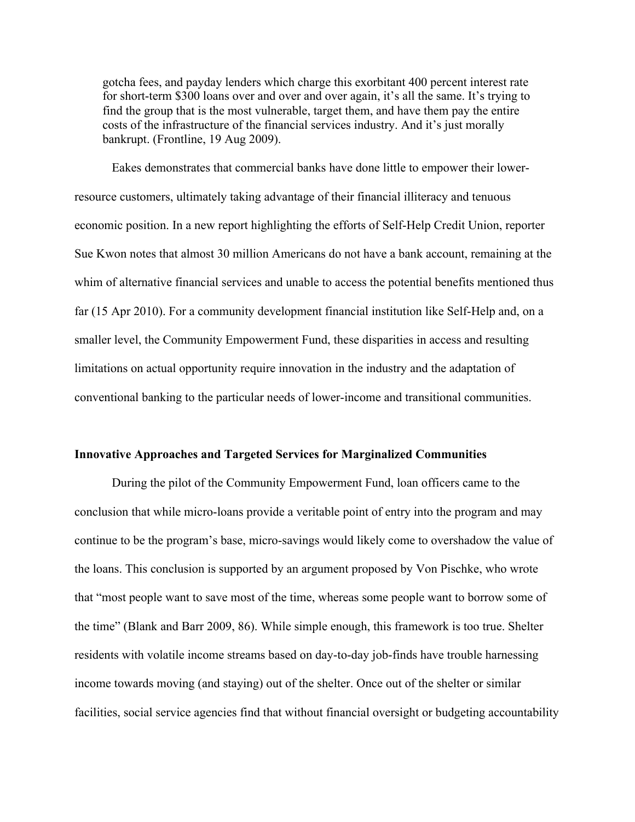gotcha fees, and payday lenders which charge this exorbitant 400 percent interest rate for short-term \$300 loans over and over and over again, it's all the same. It's trying to find the group that is the most vulnerable, target them, and have them pay the entire costs of the infrastructure of the financial services industry. And it's just morally bankrupt. (Frontline, 19 Aug 2009).

Eakes demonstrates that commercial banks have done little to empower their lowerresource customers, ultimately taking advantage of their financial illiteracy and tenuous economic position. In a new report highlighting the efforts of Self-Help Credit Union, reporter Sue Kwon notes that almost 30 million Americans do not have a bank account, remaining at the whim of alternative financial services and unable to access the potential benefits mentioned thus far (15 Apr 2010). For a community development financial institution like Self-Help and, on a smaller level, the Community Empowerment Fund, these disparities in access and resulting limitations on actual opportunity require innovation in the industry and the adaptation of conventional banking to the particular needs of lower-income and transitional communities.

## **Innovative Approaches and Targeted Services for Marginalized Communities**

During the pilot of the Community Empowerment Fund, loan officers came to the conclusion that while micro-loans provide a veritable point of entry into the program and may continue to be the program's base, micro-savings would likely come to overshadow the value of the loans. This conclusion is supported by an argument proposed by Von Pischke, who wrote that "most people want to save most of the time, whereas some people want to borrow some of the time" (Blank and Barr 2009, 86). While simple enough, this framework is too true. Shelter residents with volatile income streams based on day-to-day job-finds have trouble harnessing income towards moving (and staying) out of the shelter. Once out of the shelter or similar facilities, social service agencies find that without financial oversight or budgeting accountability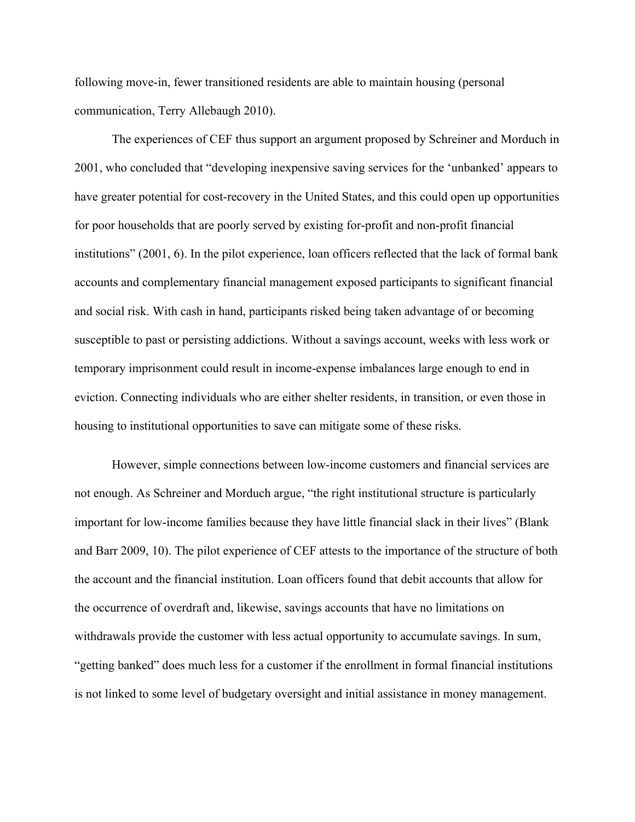following move-in, fewer transitioned residents are able to maintain housing (personal communication, Terry Allebaugh 2010).

The experiences of CEF thus support an argument proposed by Schreiner and Morduch in 2001, who concluded that "developing inexpensive saving services for the 'unbanked' appears to have greater potential for cost-recovery in the United States, and this could open up opportunities for poor households that are poorly served by existing for-profit and non-profit financial institutions" (2001, 6). In the pilot experience, loan officers reflected that the lack of formal bank accounts and complementary financial management exposed participants to significant financial and social risk. With cash in hand, participants risked being taken advantage of or becoming susceptible to past or persisting addictions. Without a savings account, weeks with less work or temporary imprisonment could result in income-expense imbalances large enough to end in eviction. Connecting individuals who are either shelter residents, in transition, or even those in housing to institutional opportunities to save can mitigate some of these risks.

However, simple connections between low-income customers and financial services are not enough. As Schreiner and Morduch argue, "the right institutional structure is particularly important for low-income families because they have little financial slack in their lives" (Blank and Barr 2009, 10). The pilot experience of CEF attests to the importance of the structure of both the account and the financial institution. Loan officers found that debit accounts that allow for the occurrence of overdraft and, likewise, savings accounts that have no limitations on withdrawals provide the customer with less actual opportunity to accumulate savings. In sum, "getting banked" does much less for a customer if the enrollment in formal financial institutions is not linked to some level of budgetary oversight and initial assistance in money management.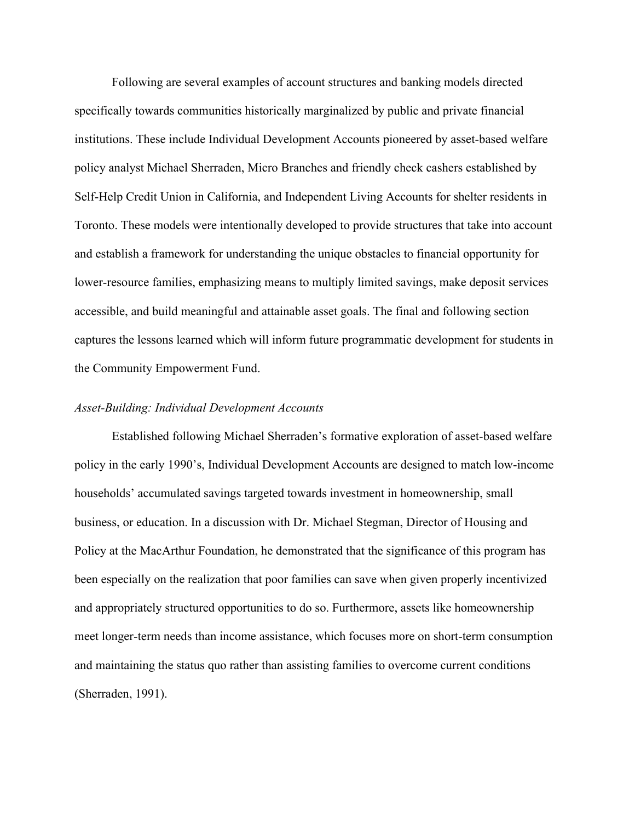Following are several examples of account structures and banking models directed specifically towards communities historically marginalized by public and private financial institutions. These include Individual Development Accounts pioneered by asset-based welfare policy analyst Michael Sherraden, Micro Branches and friendly check cashers established by Self-Help Credit Union in California, and Independent Living Accounts for shelter residents in Toronto. These models were intentionally developed to provide structures that take into account and establish a framework for understanding the unique obstacles to financial opportunity for lower-resource families, emphasizing means to multiply limited savings, make deposit services accessible, and build meaningful and attainable asset goals. The final and following section captures the lessons learned which will inform future programmatic development for students in the Community Empowerment Fund.

## *Asset-Building: Individual Development Accounts*

Established following Michael Sherraden's formative exploration of asset-based welfare policy in the early 1990's, Individual Development Accounts are designed to match low-income households' accumulated savings targeted towards investment in homeownership, small business, or education. In a discussion with Dr. Michael Stegman, Director of Housing and Policy at the MacArthur Foundation, he demonstrated that the significance of this program has been especially on the realization that poor families can save when given properly incentivized and appropriately structured opportunities to do so. Furthermore, assets like homeownership meet longer-term needs than income assistance, which focuses more on short-term consumption and maintaining the status quo rather than assisting families to overcome current conditions (Sherraden, 1991).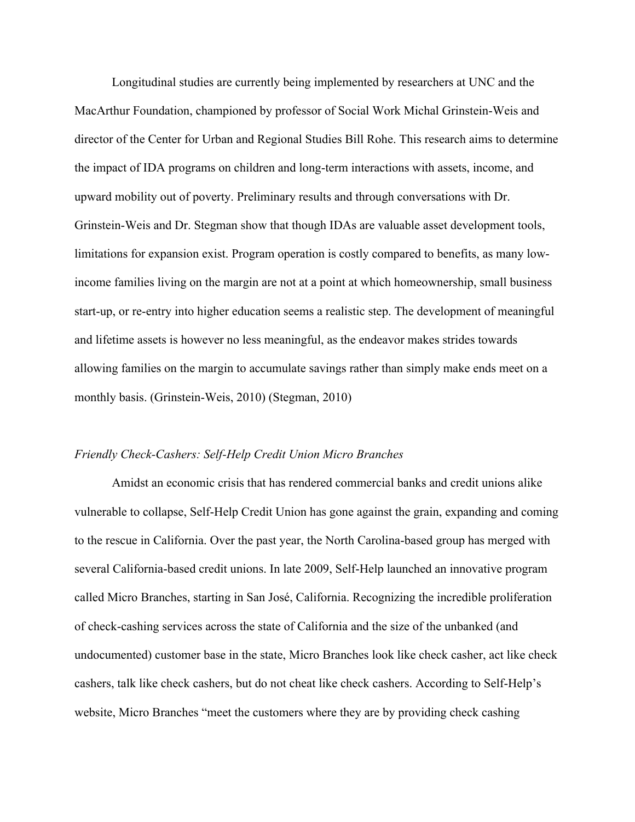Longitudinal studies are currently being implemented by researchers at UNC and the MacArthur Foundation, championed by professor of Social Work Michal Grinstein-Weis and director of the Center for Urban and Regional Studies Bill Rohe. This research aims to determine the impact of IDA programs on children and long-term interactions with assets, income, and upward mobility out of poverty. Preliminary results and through conversations with Dr. Grinstein-Weis and Dr. Stegman show that though IDAs are valuable asset development tools, limitations for expansion exist. Program operation is costly compared to benefits, as many lowincome families living on the margin are not at a point at which homeownership, small business start-up, or re-entry into higher education seems a realistic step. The development of meaningful and lifetime assets is however no less meaningful, as the endeavor makes strides towards allowing families on the margin to accumulate savings rather than simply make ends meet on a monthly basis. (Grinstein-Weis, 2010) (Stegman, 2010)

## *Friendly Check-Cashers: Self-Help Credit Union Micro Branches*

Amidst an economic crisis that has rendered commercial banks and credit unions alike vulnerable to collapse, Self-Help Credit Union has gone against the grain, expanding and coming to the rescue in California. Over the past year, the North Carolina-based group has merged with several California-based credit unions. In late 2009, Self-Help launched an innovative program called Micro Branches, starting in San José, California. Recognizing the incredible proliferation of check-cashing services across the state of California and the size of the unbanked (and undocumented) customer base in the state, Micro Branches look like check casher, act like check cashers, talk like check cashers, but do not cheat like check cashers. According to Self-Help's website, Micro Branches "meet the customers where they are by providing check cashing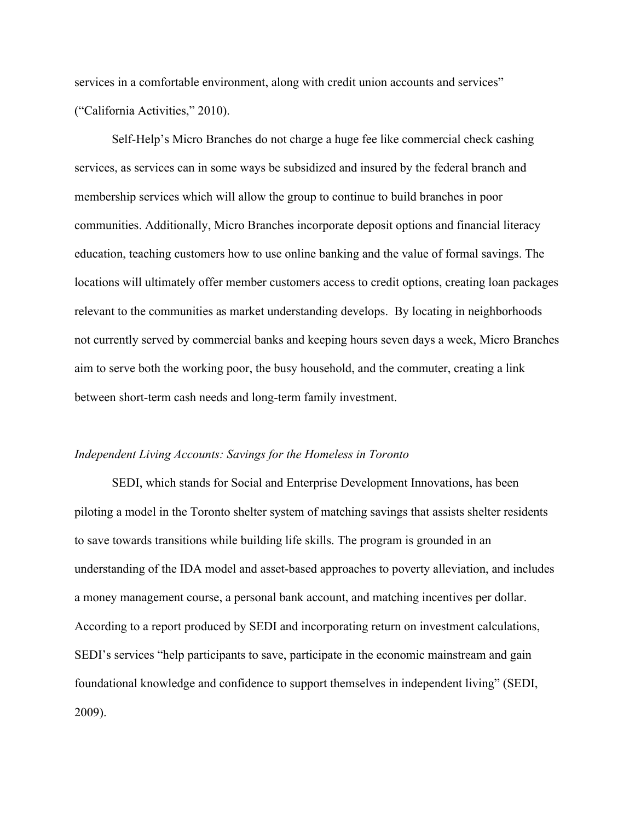services in a comfortable environment, along with credit union accounts and services" ("California Activities," 2010).

Self-Help's Micro Branches do not charge a huge fee like commercial check cashing services, as services can in some ways be subsidized and insured by the federal branch and membership services which will allow the group to continue to build branches in poor communities. Additionally, Micro Branches incorporate deposit options and financial literacy education, teaching customers how to use online banking and the value of formal savings. The locations will ultimately offer member customers access to credit options, creating loan packages relevant to the communities as market understanding develops. By locating in neighborhoods not currently served by commercial banks and keeping hours seven days a week, Micro Branches aim to serve both the working poor, the busy household, and the commuter, creating a link between short-term cash needs and long-term family investment.

## *Independent Living Accounts: Savings for the Homeless in Toronto*

SEDI, which stands for Social and Enterprise Development Innovations, has been piloting a model in the Toronto shelter system of matching savings that assists shelter residents to save towards transitions while building life skills. The program is grounded in an understanding of the IDA model and asset-based approaches to poverty alleviation, and includes a money management course, a personal bank account, and matching incentives per dollar. According to a report produced by SEDI and incorporating return on investment calculations, SEDI's services "help participants to save, participate in the economic mainstream and gain foundational knowledge and confidence to support themselves in independent living" (SEDI, 2009).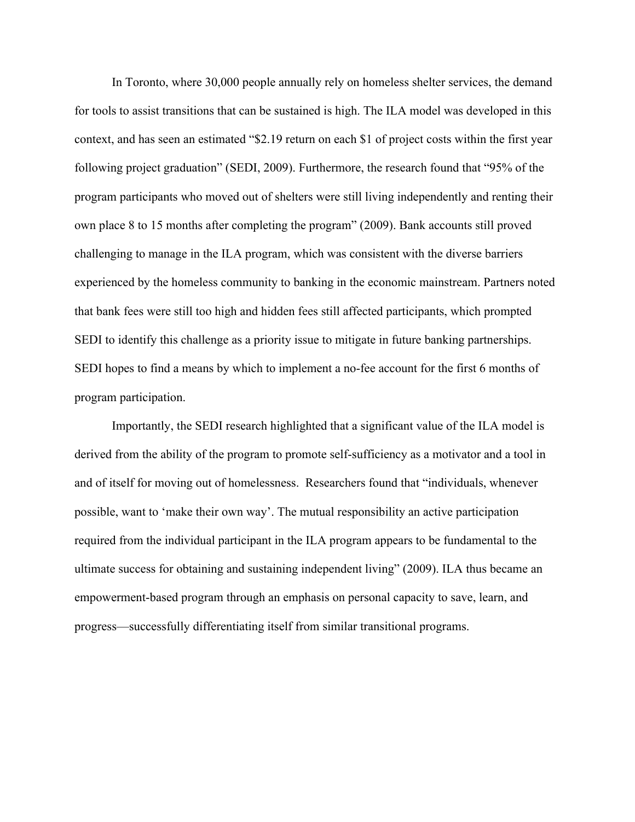In Toronto, where 30,000 people annually rely on homeless shelter services, the demand for tools to assist transitions that can be sustained is high. The ILA model was developed in this context, and has seen an estimated "\$2.19 return on each \$1 of project costs within the first year following project graduation" (SEDI, 2009). Furthermore, the research found that "95% of the program participants who moved out of shelters were still living independently and renting their own place 8 to 15 months after completing the program" (2009). Bank accounts still proved challenging to manage in the ILA program, which was consistent with the diverse barriers experienced by the homeless community to banking in the economic mainstream. Partners noted that bank fees were still too high and hidden fees still affected participants, which prompted SEDI to identify this challenge as a priority issue to mitigate in future banking partnerships. SEDI hopes to find a means by which to implement a no-fee account for the first 6 months of program participation.

Importantly, the SEDI research highlighted that a significant value of the ILA model is derived from the ability of the program to promote self-sufficiency as a motivator and a tool in and of itself for moving out of homelessness. Researchers found that "individuals, whenever possible, want to 'make their own way'. The mutual responsibility an active participation required from the individual participant in the ILA program appears to be fundamental to the ultimate success for obtaining and sustaining independent living" (2009). ILA thus became an empowerment-based program through an emphasis on personal capacity to save, learn, and progress—successfully differentiating itself from similar transitional programs.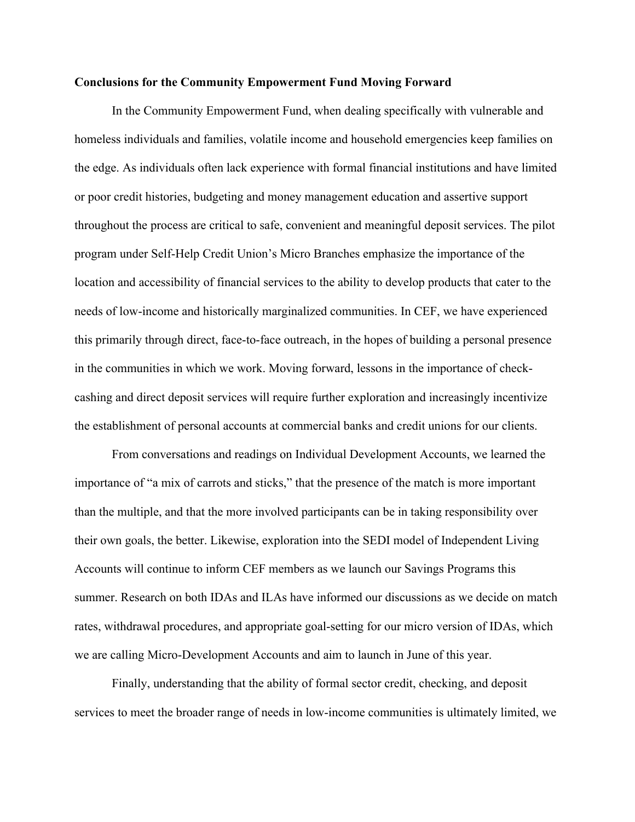## **Conclusions for the Community Empowerment Fund Moving Forward**

In the Community Empowerment Fund, when dealing specifically with vulnerable and homeless individuals and families, volatile income and household emergencies keep families on the edge. As individuals often lack experience with formal financial institutions and have limited or poor credit histories, budgeting and money management education and assertive support throughout the process are critical to safe, convenient and meaningful deposit services. The pilot program under Self-Help Credit Union's Micro Branches emphasize the importance of the location and accessibility of financial services to the ability to develop products that cater to the needs of low-income and historically marginalized communities. In CEF, we have experienced this primarily through direct, face-to-face outreach, in the hopes of building a personal presence in the communities in which we work. Moving forward, lessons in the importance of checkcashing and direct deposit services will require further exploration and increasingly incentivize the establishment of personal accounts at commercial banks and credit unions for our clients.

From conversations and readings on Individual Development Accounts, we learned the importance of "a mix of carrots and sticks," that the presence of the match is more important than the multiple, and that the more involved participants can be in taking responsibility over their own goals, the better. Likewise, exploration into the SEDI model of Independent Living Accounts will continue to inform CEF members as we launch our Savings Programs this summer. Research on both IDAs and ILAs have informed our discussions as we decide on match rates, withdrawal procedures, and appropriate goal-setting for our micro version of IDAs, which we are calling Micro-Development Accounts and aim to launch in June of this year.

Finally, understanding that the ability of formal sector credit, checking, and deposit services to meet the broader range of needs in low-income communities is ultimately limited, we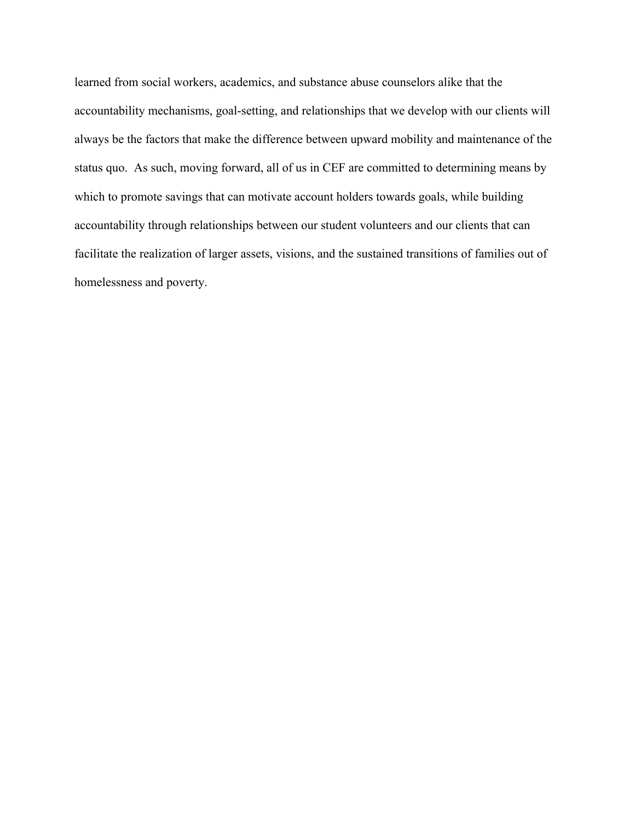learned from social workers, academics, and substance abuse counselors alike that the accountability mechanisms, goal-setting, and relationships that we develop with our clients will always be the factors that make the difference between upward mobility and maintenance of the status quo. As such, moving forward, all of us in CEF are committed to determining means by which to promote savings that can motivate account holders towards goals, while building accountability through relationships between our student volunteers and our clients that can facilitate the realization of larger assets, visions, and the sustained transitions of families out of homelessness and poverty.